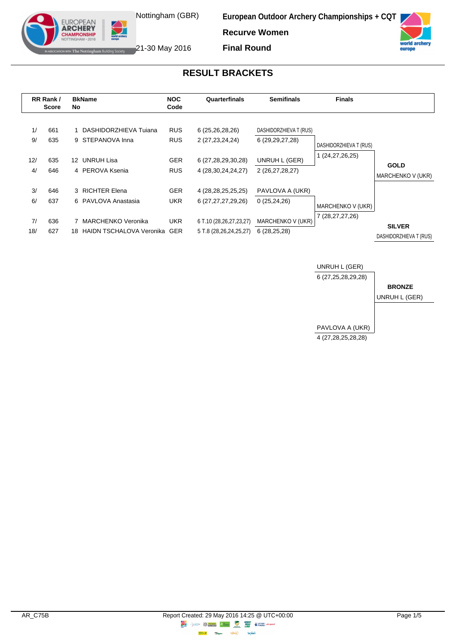

**European Outdoor Archery Championships + CQT**

**Recurve Women**



The Nottingham Building Society 21-30 May 2016

EUROPEAN **ARCHERY IPIONSHII** 

**Final Round**

## **RESULT BRACKETS**

|           | RR Rank/<br><b>Score</b> | No              | <b>BkName</b>                             | <b>NOC</b><br>Code       | Quarterfinals                                     | <b>Semifinals</b>                            | <b>Finals</b>                           |                                         |
|-----------|--------------------------|-----------------|-------------------------------------------|--------------------------|---------------------------------------------------|----------------------------------------------|-----------------------------------------|-----------------------------------------|
| 1/<br>9/  | 661<br>635               |                 | DASHIDORZHIEVA Tujana<br>9 STEPANOVA Inna | <b>RUS</b><br><b>RUS</b> | 6 (25,26,28,26)<br>2 (27,23,24,24)                | DASHIDORZHIEVA T (RUS)<br>6 (29, 29, 27, 28) | DASHIDORZHIEVA T (RUS)                  |                                         |
| 12/<br>4/ | 635<br>646               | 12 <sup>°</sup> | UNRUH Lisa<br>4 PEROVA Ksenia             | <b>GER</b><br><b>RUS</b> | 6 (27,28,29,30,28)<br>4 (28, 30, 24, 24, 27)      | UNRUH L (GER)<br>2 (26,27,28,27)             | (24, 27, 26, 25)                        | <b>GOLD</b><br>MARCHENKO V (UKR)        |
| 3/<br>6/  | 646                      |                 | 3 RICHTER Elena<br>6 PAVLOVA Anastasia    | <b>GER</b>               | 4 (28, 28, 25, 25, 25)                            | PAVLOVA A (UKR)                              |                                         |                                         |
| 7/        | 637<br>636               |                 | MARCHENKO Veronika                        | UKR.<br><b>UKR</b>       | 6 (27, 27, 27, 29, 26)<br>6 T.10 (28,26,27,23,27) | 0(25,24,26)<br>MARCHENKO V (UKR)             | MARCHENKO V (UKR)<br>7 (28, 27, 27, 26) |                                         |
| 18/       | 627                      | 18              | HAIDN TSCHALOVA Veronika GER              |                          | 5 T.8 (28,26,24,25,27)                            | 6(28, 25, 28)                                |                                         | <b>SILVER</b><br>DASHIDORZHIEVA T (RUS) |

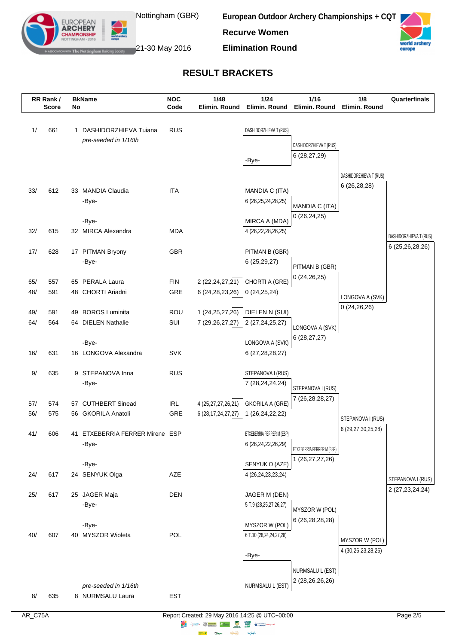

EUROPEAN **ARCHERY** 

**European Outdoor Archery Championships + CQT Recurve Women**





The Nottingham Building Society  $21$ -30 May 2016

## **RESULT BRACKETS**

|     | RR Rank/<br>Score | No | <b>BkName</b>                            | <b>NOC</b><br>Code | 1/48<br>Elimin. Round  | 1/24<br>Elimin. Round                               | 1/16<br>Elimin. Round                | 1/8<br>Elimin. Round             | Quarterfinals                             |
|-----|-------------------|----|------------------------------------------|--------------------|------------------------|-----------------------------------------------------|--------------------------------------|----------------------------------|-------------------------------------------|
|     |                   |    |                                          |                    |                        |                                                     |                                      |                                  |                                           |
| 1/  | 661               |    | 1 DASHIDORZHIEVA Tuiana                  | <b>RUS</b>         |                        | DASHIDORZHIEVA T (RUS)                              |                                      |                                  |                                           |
|     |                   |    | pre-seeded in 1/16th                     |                    |                        |                                                     | DASHIDORZHIEVA T (RUS)               |                                  |                                           |
|     |                   |    |                                          |                    |                        | -Bye-                                               | 6 (28,27,29)                         |                                  |                                           |
|     |                   |    |                                          |                    |                        |                                                     |                                      |                                  |                                           |
|     |                   |    |                                          |                    |                        |                                                     |                                      | DASHIDORZHIEVA T (RUS)           |                                           |
| 33/ | 612               |    | 33 MANDIA Claudia                        | <b>ITA</b>         |                        | MANDIA C (ITA)                                      |                                      | 6(26, 28, 28)                    |                                           |
|     |                   |    | -Bye-                                    |                    |                        | 6 (26, 25, 24, 28, 25)                              | MANDIA C (ITA)                       |                                  |                                           |
|     |                   |    | -Bye-                                    |                    |                        | MIRCA A (MDA)                                       | 0(26, 24, 25)                        |                                  |                                           |
| 32/ | 615               |    | 32 MIRCA Alexandra                       | MDA                |                        | 4 (26,22,28,26,25)                                  |                                      |                                  |                                           |
|     |                   |    |                                          |                    |                        |                                                     |                                      |                                  | DASHIDORZHIEVA T (RUS)<br>6 (25,26,28,26) |
| 17/ | 628               |    | 17 PITMAN Bryony                         | GBR                |                        | PITMAN B (GBR)                                      |                                      |                                  |                                           |
|     |                   |    | -Bye-                                    |                    |                        | 6 (25,29,27)                                        | PITMAN B (GBR)                       |                                  |                                           |
| 65/ | 557               |    | 65 PERALA Laura                          | <b>FIN</b>         | 2 (22, 24, 27, 21)     | CHORTI A (GRE)                                      | 0(24,26,25)                          |                                  |                                           |
| 48/ | 591               |    | 48 CHORTI Ariadni                        | GRE                | 6 (24, 28, 23, 26)     | 0(24,25,24)                                         |                                      |                                  |                                           |
|     |                   |    |                                          |                    |                        |                                                     |                                      | LONGOVA A (SVK)<br>0(24, 26, 26) |                                           |
| 49/ | 591               |    | 49 BOROS Luminita                        | ROU                | 1 (24, 25, 27, 26)     | DIELEN N (SUI)                                      |                                      |                                  |                                           |
| 64/ | 564               |    | 64 DIELEN Nathalie                       | SUI                | 7 (29, 26, 27, 27)     | 2 (27, 24, 25, 27)                                  | LONGOVA A (SVK)                      |                                  |                                           |
|     |                   |    | -Bye-                                    |                    |                        | LONGOVA A (SVK)                                     | 6(28, 27, 27)                        |                                  |                                           |
| 16/ | 631               |    | 16 LONGOVA Alexandra                     | <b>SVK</b>         |                        | 6 (27,28,28,27)                                     |                                      |                                  |                                           |
|     |                   |    |                                          |                    |                        |                                                     |                                      |                                  |                                           |
| 9/  | 635               |    | 9 STEPANOVA Inna                         | <b>RUS</b>         |                        | STEPANOVA I (RUS)                                   |                                      |                                  |                                           |
|     |                   |    | -Bye-                                    |                    |                        | 7 (28,24,24,24)                                     | STEPANOVA I (RUS)                    |                                  |                                           |
| 57/ | 574               |    | 57 CUTHBERT Sinead                       | <b>IRL</b>         | 4 (25,27,27,26,21)     | <b>GKORILA A (GRE)</b>                              | 7 (26,28,28,27)                      |                                  |                                           |
| 56/ | 575               |    | 56 GKORILA Anatoli                       | GRE                | 6 (28, 17, 24, 27, 27) | 1 (26,24,22,22)                                     |                                      | STEPANOVA I (RUS)                |                                           |
|     |                   |    |                                          |                    |                        |                                                     |                                      | 6 (29,27,30,25,28)               |                                           |
| 41/ | 606               |    | 41 ETXEBERRIA FERRER Mirene ESP<br>-Bye- |                    |                        | ETXEBERRIA FERRER M (ESP)<br>6 (26, 24, 22, 26, 29) |                                      |                                  |                                           |
|     |                   |    |                                          |                    |                        |                                                     | ETXEBERRIA FERRER M (ESP)            |                                  |                                           |
|     |                   |    | -Bye-                                    |                    |                        | SENYUK O (AZE)                                      | 1 (26, 27, 27, 26)                   |                                  |                                           |
| 24/ | 617               |    | 24 SENYUK Olga                           | AZE                |                        | 4 (26, 24, 23, 23, 24)                              |                                      |                                  | STEPANOVA I (RUS)                         |
| 25/ | 617               |    | 25 JAGER Maja                            | <b>DEN</b>         |                        | JAGER M (DEN)                                       |                                      |                                  | 2 (27, 23, 24, 24)                        |
|     |                   |    | -Bye-                                    |                    |                        | 5 T.9 (28,25,27,26,27)                              |                                      |                                  |                                           |
|     |                   |    |                                          |                    |                        |                                                     | MYSZOR W (POL)<br>6 (26, 28, 28, 28) |                                  |                                           |
|     |                   |    | -Bye-                                    |                    |                        | MYSZOR W (POL)                                      |                                      |                                  |                                           |
| 40/ | 607               |    | 40 MYSZOR Wioleta                        | POL                |                        | 6 T.10 (28,24,24,27,28)                             |                                      | MYSZOR W (POL)                   |                                           |
|     |                   |    |                                          |                    |                        | -Bye-                                               |                                      | 4 (30,26,23,28,26)               |                                           |
|     |                   |    |                                          |                    |                        |                                                     |                                      |                                  |                                           |
|     |                   |    |                                          |                    |                        |                                                     | NURMSALU L (EST)<br>2 (28,26,26,26)  |                                  |                                           |
|     |                   |    | pre-seeded in 1/16th                     |                    |                        | NURMSALU L (EST)                                    |                                      |                                  |                                           |
| 8/  | 635               |    | 8 NURMSALU Laura                         | <b>EST</b>         |                        |                                                     |                                      |                                  |                                           |

**lensed** 

**Highway Citym**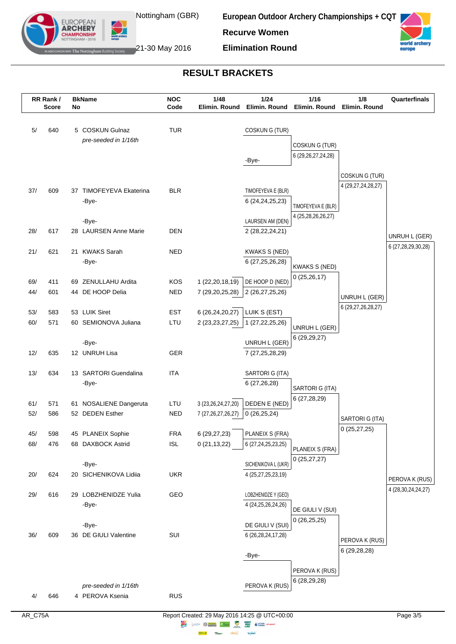

EUROPEAN **ARCHERY** 

**European Outdoor Archery Championships + CQT Recurve Women**





The Nottingham Building Society 21-30 May 2016

# **RESULT BRACKETS**

|     | RR Rank /    |    | <b>BkName</b>                  | <b>NOC</b> | 1/48                   | 1/24                                       | 1/16                                  | 1/8                | Quarterfinals          |
|-----|--------------|----|--------------------------------|------------|------------------------|--------------------------------------------|---------------------------------------|--------------------|------------------------|
|     | <b>Score</b> | No |                                | Code       | Elimin. Round          | Elimin. Round                              | Elimin. Round                         | Elimin. Round      |                        |
| 5/  | 640          |    | 5 COSKUN Gulnaz                | <b>TUR</b> |                        | COSKUNG (TUR)                              |                                       |                    |                        |
|     |              |    | pre-seeded in 1/16th           |            |                        |                                            | COSKUNG (TUR)                         |                    |                        |
|     |              |    |                                |            |                        | -Bye-                                      | 6 (29, 26, 27, 24, 28)                |                    |                        |
|     |              |    |                                |            |                        |                                            |                                       |                    |                        |
|     |              |    |                                |            |                        |                                            |                                       | COSKUNG (TUR)      |                        |
| 37/ | 609          |    | 37 TIMOFEYEVA Ekaterina        | <b>BLR</b> |                        | TIMOFEYEVA E (BLR)                         |                                       | 4 (29,27,24,28,27) |                        |
|     |              |    | -Bye-                          |            |                        | 6 (24, 24, 25, 23)                         | TIMOFEYEVA E (BLR)                    |                    |                        |
|     |              |    |                                |            |                        |                                            | 4 (25,28,26,26,27)                    |                    |                        |
|     |              |    | -Bye-                          |            |                        | LAURSEN AM (DEN)                           |                                       |                    |                        |
| 28/ | 617          |    | 28 LAURSEN Anne Marie          | DEN        |                        | 2 (28, 22, 24, 21)                         |                                       |                    | UNRUH L (GER)          |
| 21/ | 621          |    | 21 KWAKS Sarah                 | <b>NED</b> |                        | <b>KWAKS S (NED)</b>                       |                                       |                    | 6 (27,28,29,30,28)     |
|     |              |    | -Bye-                          |            |                        | 6 (27, 25, 26, 28)                         |                                       |                    |                        |
|     |              |    |                                |            |                        |                                            | <b>KWAKS S (NED)</b><br>0(25, 26, 17) |                    |                        |
| 69/ | 411          |    | 69 ZENULLAHU Ardita            | KOS        | 1 (22,20,18,19)        | DE HOOP D (NED)                            |                                       |                    |                        |
| 44/ | 601          |    | 44 DE HOOP Delia               | <b>NED</b> | 7 (29,20,25,28)        | 2(26,27,25,26)                             |                                       | UNRUH L (GER)      |                        |
| 53/ | 583          |    | 53 LUIK Siret                  | <b>EST</b> | 6 (26,24,20,27)        | LUIK S (EST)                               |                                       | 6 (29,27,26,28,27) |                        |
| 60/ | 571          |    | 60 SEMIONOVA Juliana           | LTU        | 2 (23, 23, 27, 25)     | 1 (27, 22, 25, 26)                         |                                       |                    |                        |
|     |              |    |                                |            |                        |                                            | UNRUH L (GER)                         |                    |                        |
|     |              |    | -Bye-                          |            |                        | UNRUH L (GER)                              | 6(29,29,27)                           |                    |                        |
| 12/ | 635          |    | 12 UNRUH Lisa                  | GER        |                        | 7 (27, 25, 28, 29)                         |                                       |                    |                        |
|     |              |    |                                |            |                        |                                            |                                       |                    |                        |
| 13/ | 634          |    | 13 SARTORI Guendalina<br>-Bye- | <b>ITA</b> |                        | SARTORI G (ITA)<br>6(27,26,28)             |                                       |                    |                        |
|     |              |    |                                |            |                        |                                            | SARTORI G (ITA)                       |                    |                        |
| 61/ | 571          |    | 61 NOSALIENE Dangeruta         | LTU        | 3 (23, 26, 24, 27, 20) | DEDEN E (NED)                              | 6 (27,28,29)                          |                    |                        |
| 52/ | 586          |    | 52 DEDEN Esther                | <b>NED</b> | 7 (27, 26, 27, 26, 27) | 0(26, 25, 24)                              |                                       | SARTORI G (ITA)    |                        |
|     |              |    |                                |            |                        |                                            |                                       | 0(25, 27, 25)      |                        |
| 45/ | 598          |    | 45 PLANEIX Sophie              | <b>FRA</b> | 6 (29,27,23)           | PLANEIX S (FRA)                            |                                       |                    |                        |
| 68/ | 476          |    | 68 DAXBOCK Astrid              | <b>ISL</b> | 0(21, 13, 22)          | 6 (27, 24, 25, 23, 25)                     | PLANEIX S (FRA)                       |                    |                        |
|     |              |    | -Bye-                          |            |                        | SICHENIKOVA L (UKR)                        | 0(25, 27, 27)                         |                    |                        |
| 20/ | 624          |    | 20 SICHENIKOVA Lidiia          | <b>UKR</b> |                        | 4 (25,27,25,23,19)                         |                                       |                    |                        |
|     |              |    |                                |            |                        |                                            |                                       |                    | PEROVA K (RUS)         |
| 29/ | 616          |    | 29 LOBZHENIDZE Yulia           | GEO        |                        | LOBZHENIDZE Y (GEO)                        |                                       |                    | 4 (28, 30, 24, 24, 27) |
|     |              |    | -Bye-                          |            |                        | 4 (24, 25, 26, 24, 26)                     | DE GIULI V (SUI)                      |                    |                        |
|     |              |    |                                |            |                        |                                            | 0(26,25,25)                           |                    |                        |
| 36/ | 609          |    | -Bye-<br>36 DE GIULI Valentine | SUI        |                        | DE GIULI V (SUI)<br>6 (26, 28, 24, 17, 28) |                                       |                    |                        |
|     |              |    |                                |            |                        |                                            |                                       | PEROVA K (RUS)     |                        |
|     |              |    |                                |            |                        | -Bye-                                      |                                       | 6 (29,28,28)       |                        |
|     |              |    |                                |            |                        |                                            | PEROVA K (RUS)                        |                    |                        |
|     |              |    |                                |            |                        |                                            | 6 (28,29,28)                          |                    |                        |
|     |              |    | pre-seeded in 1/16th           |            |                        | PEROVA K (RUS)                             |                                       |                    |                        |
| 4/  | 646          |    | 4 PEROVA Ksenia                | <b>RUS</b> |                        |                                            |                                       |                    |                        |

**lensed** 

**Highway Citym**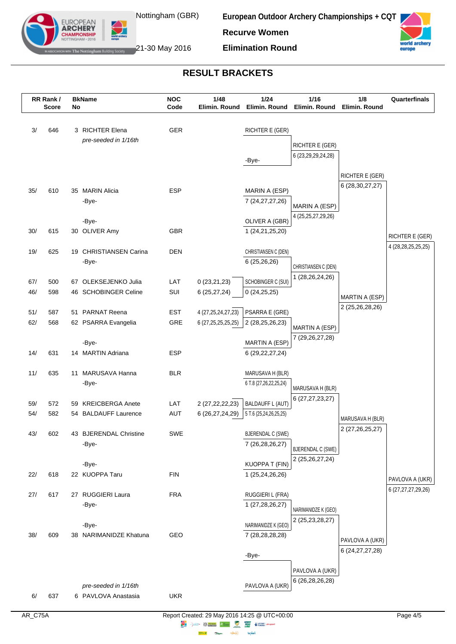

EUROPEAN **ARCHERY** 

**European Outdoor Archery Championships + CQT Recurve Women**





The Nottingham Building Society 21-30 May 2016

#### **RESULT BRACKETS**

| $1/24$<br>RR Rank/<br><b>NOC</b><br>1/48<br><b>BkName</b><br>Code<br>Elimin. Round<br>Elimin. Round<br><b>Score</b><br>No                                                    | 1/16<br>Elimin. Round                  | 1/8<br>Elimin. Round                         | Quarterfinals          |
|------------------------------------------------------------------------------------------------------------------------------------------------------------------------------|----------------------------------------|----------------------------------------------|------------------------|
|                                                                                                                                                                              |                                        |                                              |                        |
| 3/<br>3 RICHTER Elena<br>GER<br>646<br>RICHTER E (GER)                                                                                                                       |                                        |                                              |                        |
| pre-seeded in 1/16th                                                                                                                                                         | <b>RICHTER E (GER)</b>                 |                                              |                        |
| -Bye-                                                                                                                                                                        | 6 (23,29,29,24,28)                     |                                              |                        |
|                                                                                                                                                                              |                                        |                                              |                        |
|                                                                                                                                                                              |                                        | <b>RICHTER E (GER)</b><br>6 (28, 30, 27, 27) |                        |
| 35/<br>35 MARIN Alicia<br><b>ESP</b><br>610<br>MARIN A (ESP)                                                                                                                 |                                        |                                              |                        |
| 7 (24, 27, 27, 26)<br>-Bye-                                                                                                                                                  | MARIN A (ESP)                          |                                              |                        |
| OLIVER A (GBR)<br>-Bye-                                                                                                                                                      | 4 (25, 25, 27, 29, 26)                 |                                              |                        |
| 30/<br>615<br>30 OLIVER Amy<br><b>GBR</b><br>1 (24, 21, 25, 20)                                                                                                              |                                        |                                              | RICHTER E (GER)        |
|                                                                                                                                                                              |                                        |                                              | 4 (28, 28, 25, 25, 25) |
| 19/<br>625<br><b>DEN</b><br>CHRISTIANSEN C (DEN)<br>19 CHRISTIANSEN Carina                                                                                                   |                                        |                                              |                        |
| 6(25, 26, 26)<br>-Bye-                                                                                                                                                       | CHRISTIANSEN C (DEN)                   |                                              |                        |
| LAT<br>67/<br>500<br>67 OLEKSEJENKO Julia<br>0(23,21,23)<br>SCHOBINGER C (SUI)                                                                                               | 1 (28,26,24,26)                        |                                              |                        |
| 46/<br>SUI<br>598<br>46 SCHOBINGER Celine<br>6(25, 27, 24)<br>0(24,25,25)                                                                                                    |                                        | MARTIN A (ESP)                               |                        |
|                                                                                                                                                                              |                                        | 2 (25,26,28,26)                              |                        |
| <b>EST</b><br>4 (27, 25, 24, 27, 23)<br>PSARRA E (GRE)<br>51/<br>587<br>51 PARNAT Reena<br>62/<br>GRE<br>568<br>62 PSARRA Evangelia<br>6 (27,25,25,25,25)<br>2 (28,25,26,23) |                                        |                                              |                        |
|                                                                                                                                                                              | MARTIN A (ESP)                         |                                              |                        |
| MARTIN A (ESP)<br>-Bye-                                                                                                                                                      | 7 (29, 26, 27, 28)                     |                                              |                        |
| 14/<br>631<br><b>ESP</b><br>14 MARTIN Adriana<br>6 (29, 22, 27, 24)                                                                                                          |                                        |                                              |                        |
| 11/<br><b>BLR</b><br>635<br>11 MARUSAVA Hanna<br>MARUSAVA H (BLR)                                                                                                            |                                        |                                              |                        |
| 6 T.8 (27,26,22,25,24)<br>-Bye-                                                                                                                                              |                                        |                                              |                        |
|                                                                                                                                                                              | MARUSAVA H (BLR)<br>6 (27, 27, 23, 27) |                                              |                        |
| LAT<br><b>BALDAUFF L (AUT)</b><br>59/<br>572<br><b>KREICBERGA Anete</b><br>2 (27, 22, 22, 23)<br>59                                                                          |                                        |                                              |                        |
| 54/<br>54 BALDAUFF Laurence<br><b>AUT</b><br>6 (26,27,24,29)<br>582<br>5 T.6 (25,24,26,25,25)                                                                                |                                        | MARUSAVA H (BLR)                             |                        |
| 43/<br>602<br><b>SWE</b><br>43 BJERENDAL Christine<br>BJERENDAL C (SWE)                                                                                                      |                                        | 2 (27, 26, 25, 27)                           |                        |
| 7 (26,28,26,27)<br>-Bye-                                                                                                                                                     | <b>BJERENDAL C (SWE)</b>               |                                              |                        |
|                                                                                                                                                                              | 2 (25, 26, 27, 24)                     |                                              |                        |
| -Bye-<br>KUOPPA T (FIN)<br>22 KUOPPA Taru<br>22/<br>618<br><b>FIN</b><br>1 (25,24,26,26)                                                                                     |                                        |                                              |                        |
|                                                                                                                                                                              |                                        |                                              | PAVLOVA A (UKR)        |
| 27 RUGGIERI Laura<br><b>FRA</b><br>RUGGIERI L (FRA)<br>27/<br>617                                                                                                            |                                        |                                              | 6 (27,27,27,29,26)     |
| 1 (27,28,26,27)<br>-Bye-                                                                                                                                                     | NARIMANIDZE K (GEO)                    |                                              |                        |
| NARIMANIDZE K (GEO)<br>-Bye-                                                                                                                                                 | 2 (25,23,28,27)                        |                                              |                        |
| 38/<br>609<br>38 NARIMANIDZE Khatuna<br>GEO<br>7 (28,28,28,28)                                                                                                               |                                        |                                              |                        |
|                                                                                                                                                                              |                                        | PAVLOVA A (UKR)<br>6 (24, 27, 27, 28)        |                        |
| -Bye-                                                                                                                                                                        |                                        |                                              |                        |
|                                                                                                                                                                              | PAVLOVA A (UKR)                        |                                              |                        |
| pre-seeded in 1/16th<br>PAVLOVA A (UKR)                                                                                                                                      | 6 (26, 28, 26, 28)                     |                                              |                        |
| <b>UKR</b><br>6/<br>637<br>6 PAVLOVA Anastasia                                                                                                                               |                                        |                                              |                        |

**lensed** 

**Highway** .<br>Citype